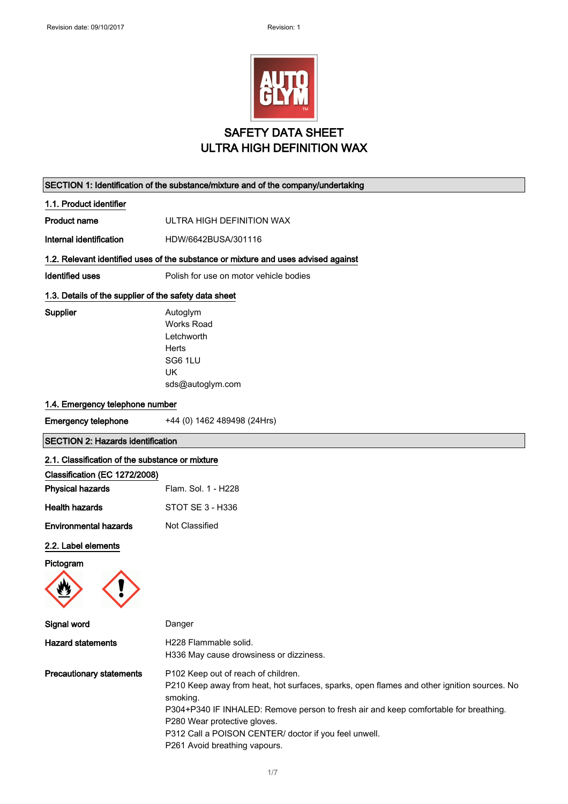|                                                          | <b>SAFETY DATA SHEET</b>                                                                                                     |
|----------------------------------------------------------|------------------------------------------------------------------------------------------------------------------------------|
|                                                          | <b>ULTRA HIGH DEFINITION WAX</b>                                                                                             |
|                                                          |                                                                                                                              |
| 1.1. Product identifier                                  | SECTION 1: Identification of the substance/mixture and of the company/undertaking                                            |
| <b>Product name</b>                                      | ULTRA HIGH DEFINITION WAX                                                                                                    |
| Internal identification                                  | HDW/6642BUSA/301116                                                                                                          |
|                                                          |                                                                                                                              |
| <b>Identified uses</b>                                   | 1.2. Relevant identified uses of the substance or mixture and uses advised against<br>Polish for use on motor vehicle bodies |
|                                                          |                                                                                                                              |
| 1.3. Details of the supplier of the safety data sheet    |                                                                                                                              |
| Supplier                                                 | Autoglym<br><b>Works Road</b>                                                                                                |
|                                                          | Letchworth                                                                                                                   |
|                                                          | <b>Herts</b>                                                                                                                 |
|                                                          | SG6 1LU                                                                                                                      |
|                                                          | UK<br>sds@autoglym.com                                                                                                       |
|                                                          |                                                                                                                              |
| 1.4. Emergency telephone number                          |                                                                                                                              |
| <b>Emergency telephone</b>                               | +44 (0) 1462 489498 (24Hrs)                                                                                                  |
| <b>SECTION 2: Hazards identification</b>                 |                                                                                                                              |
| 2.1. Classification of the substance or mixture          |                                                                                                                              |
| Classification (EC 1272/2008)<br><b>Physical hazards</b> | Flam. Sol. 1 - H228                                                                                                          |
| <b>Health hazards</b>                                    | STOT SE 3 - H336                                                                                                             |
|                                                          |                                                                                                                              |
| <b>Environmental hazards</b>                             | Not Classified                                                                                                               |
| 2.2. Label elements                                      |                                                                                                                              |
|                                                          |                                                                                                                              |
| Pictogram                                                |                                                                                                                              |
|                                                          |                                                                                                                              |
| Signal word                                              | Danger                                                                                                                       |
| <b>Hazard statements</b>                                 | H228 Flammable solid.                                                                                                        |
|                                                          | H336 May cause drowsiness or dizziness.                                                                                      |

P210 Keep away from heat, hot surfaces, sparks, open flames and other ignition sources. No smoking. P304+P340 IF INHALED: Remove person to fresh air and keep comfortable for breathing. P280 Wear protective gloves.

P312 Call a POISON CENTER/ doctor if you feel unwell.

P261 Avoid breathing vapours.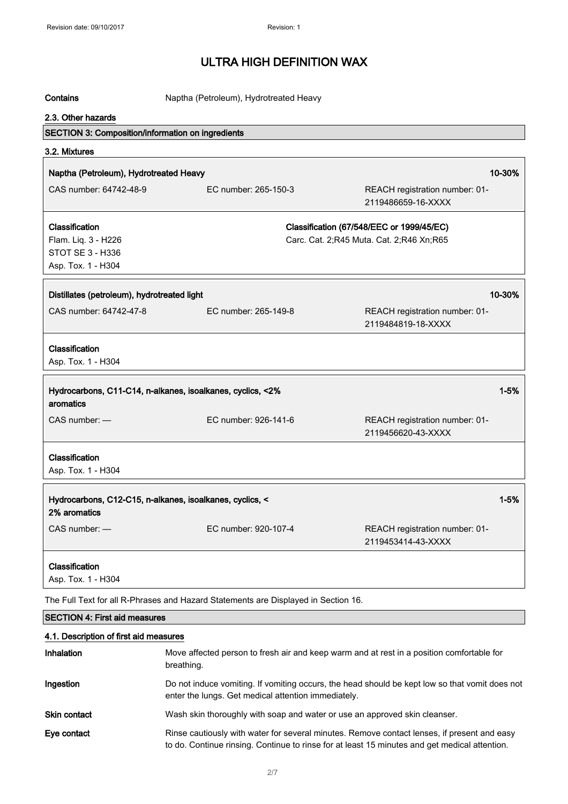| Contains                                          | Naptha (Petroleum), Hydrotreated Heavy                                             |                                                      |
|---------------------------------------------------|------------------------------------------------------------------------------------|------------------------------------------------------|
| 2.3. Other hazards                                |                                                                                    |                                                      |
| SECTION 3: Composition/information on ingredients |                                                                                    |                                                      |
| 3.2. Mixtures                                     |                                                                                    |                                                      |
| Naptha (Petroleum), Hydrotreated Heavy            |                                                                                    | 10-30%                                               |
| CAS number: 64742-48-9                            | EC number: 265-150-3                                                               | REACH registration number: 01-                       |
|                                                   |                                                                                    | 2119486659-16-XXXX                                   |
| Classification                                    |                                                                                    | Classification (67/548/EEC or 1999/45/EC)            |
| Flam. Liq. 3 - H226                               |                                                                                    | Carc. Cat. 2;R45 Muta. Cat. 2;R46 Xn;R65             |
| <b>STOT SE 3 - H336</b>                           |                                                                                    |                                                      |
| Asp. Tox. 1 - H304                                |                                                                                    |                                                      |
| Distillates (petroleum), hydrotreated light       |                                                                                    | 10-30%                                               |
|                                                   |                                                                                    |                                                      |
| CAS number: 64742-47-8                            | EC number: 265-149-8                                                               | REACH registration number: 01-<br>2119484819-18-XXXX |
| Classification                                    |                                                                                    |                                                      |
| Asp. Tox. 1 - H304                                |                                                                                    |                                                      |
|                                                   | Hydrocarbons, C11-C14, n-alkanes, isoalkanes, cyclics, <2%                         | $1 - 5%$                                             |
| aromatics                                         |                                                                                    |                                                      |
| $CAS$ number: $-$                                 | EC number: 926-141-6                                                               | REACH registration number: 01-                       |
|                                                   |                                                                                    | 2119456620-43-XXXX                                   |
| Classification                                    |                                                                                    |                                                      |
| Asp. Tox. 1 - H304                                |                                                                                    |                                                      |
|                                                   |                                                                                    |                                                      |
| 2% aromatics                                      | Hydrocarbons, C12-C15, n-alkanes, isoalkanes, cyclics, <                           | $1 - 5%$                                             |
| CAS number: -                                     | EC number: 920-107-4                                                               | REACH registration number: 01-                       |
|                                                   |                                                                                    | 2119453414-43-XXXX                                   |
| Classification                                    |                                                                                    |                                                      |
| Asp. Tox. 1 - H304                                |                                                                                    |                                                      |
|                                                   | The Full Text for all D. Dhreese and Hazard Statements are Displayed in Section 16 |                                                      |

The Full Text for all R-Phrases and Hazard Statements are Displayed in Section 16.

### SECTION 4: First aid measures

#### 4.1. Description of first aid measures

| <b>Inhalation</b>   | Move affected person to fresh air and keep warm and at rest in a position comfortable for<br>breathing.                                                                                      |
|---------------------|----------------------------------------------------------------------------------------------------------------------------------------------------------------------------------------------|
| Ingestion           | Do not induce vomiting. If vomiting occurs, the head should be kept low so that vomit does not<br>enter the lungs. Get medical attention immediately.                                        |
| <b>Skin contact</b> | Wash skin thoroughly with soap and water or use an approved skin cleanser.                                                                                                                   |
| Eye contact         | Rinse cautiously with water for several minutes. Remove contact lenses, if present and easy<br>to do. Continue rinsing. Continue to rinse for at least 15 minutes and get medical attention. |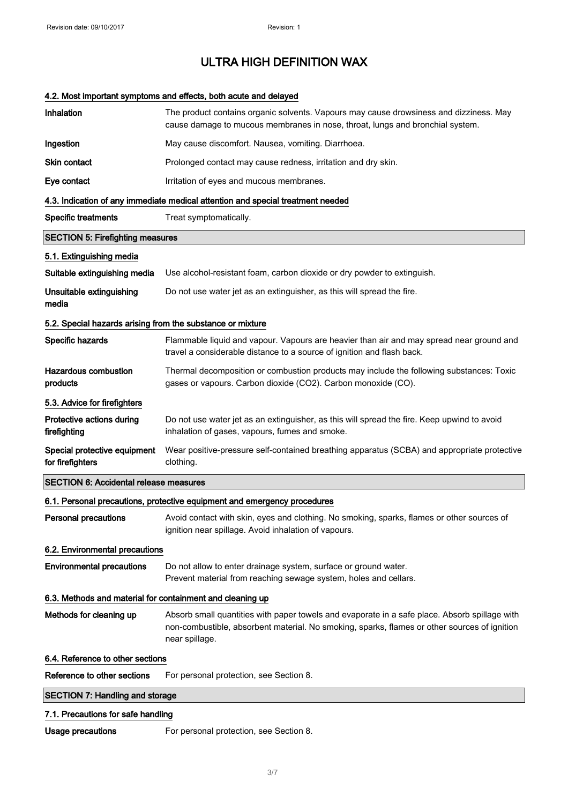### 4.2. Most important symptoms and effects, both acute and delayed

| Inhalation                                                 | The product contains organic solvents. Vapours may cause drowsiness and dizziness. May<br>cause damage to mucous membranes in nose, throat, lungs and bronchial system.                                         |
|------------------------------------------------------------|-----------------------------------------------------------------------------------------------------------------------------------------------------------------------------------------------------------------|
| Ingestion                                                  | May cause discomfort. Nausea, vomiting. Diarrhoea.                                                                                                                                                              |
| Skin contact                                               | Prolonged contact may cause redness, irritation and dry skin.                                                                                                                                                   |
| Eye contact                                                | Irritation of eyes and mucous membranes.                                                                                                                                                                        |
|                                                            | 4.3. Indication of any immediate medical attention and special treatment needed                                                                                                                                 |
| <b>Specific treatments</b>                                 | Treat symptomatically.                                                                                                                                                                                          |
| <b>SECTION 5: Firefighting measures</b>                    |                                                                                                                                                                                                                 |
| 5.1. Extinguishing media                                   |                                                                                                                                                                                                                 |
| Suitable extinguishing media                               | Use alcohol-resistant foam, carbon dioxide or dry powder to extinguish.                                                                                                                                         |
| Unsuitable extinguishing<br>media                          | Do not use water jet as an extinguisher, as this will spread the fire.                                                                                                                                          |
| 5.2. Special hazards arising from the substance or mixture |                                                                                                                                                                                                                 |
| Specific hazards                                           | Flammable liquid and vapour. Vapours are heavier than air and may spread near ground and<br>travel a considerable distance to a source of ignition and flash back.                                              |
| <b>Hazardous combustion</b><br>products                    | Thermal decomposition or combustion products may include the following substances: Toxic<br>gases or vapours. Carbon dioxide (CO2). Carbon monoxide (CO).                                                       |
| 5.3. Advice for firefighters                               |                                                                                                                                                                                                                 |
| Protective actions during<br>firefighting                  | Do not use water jet as an extinguisher, as this will spread the fire. Keep upwind to avoid<br>inhalation of gases, vapours, fumes and smoke.                                                                   |
| Special protective equipment<br>for firefighters           | Wear positive-pressure self-contained breathing apparatus (SCBA) and appropriate protective<br>clothing.                                                                                                        |
| <b>SECTION 6: Accidental release measures</b>              |                                                                                                                                                                                                                 |
|                                                            | 6.1. Personal precautions, protective equipment and emergency procedures                                                                                                                                        |
| <b>Personal precautions</b>                                | Avoid contact with skin, eyes and clothing. No smoking, sparks, flames or other sources of<br>ignition near spillage. Avoid inhalation of vapours.                                                              |
| 6.2. Environmental precautions                             |                                                                                                                                                                                                                 |
| <b>Environmental precautions</b>                           | Do not allow to enter drainage system, surface or ground water.<br>Prevent material from reaching sewage system, holes and cellars.                                                                             |
| 6.3. Methods and material for containment and cleaning up  |                                                                                                                                                                                                                 |
| Methods for cleaning up                                    | Absorb small quantities with paper towels and evaporate in a safe place. Absorb spillage with<br>non-combustible, absorbent material. No smoking, sparks, flames or other sources of ignition<br>near spillage. |
| 6.4. Reference to other sections                           |                                                                                                                                                                                                                 |
| Reference to other sections                                | For personal protection, see Section 8.                                                                                                                                                                         |
| <b>SECTION 7: Handling and storage</b>                     |                                                                                                                                                                                                                 |
| 7.1. Precautions for safe handling                         |                                                                                                                                                                                                                 |
| Usage precautions                                          | For personal protection, see Section 8.                                                                                                                                                                         |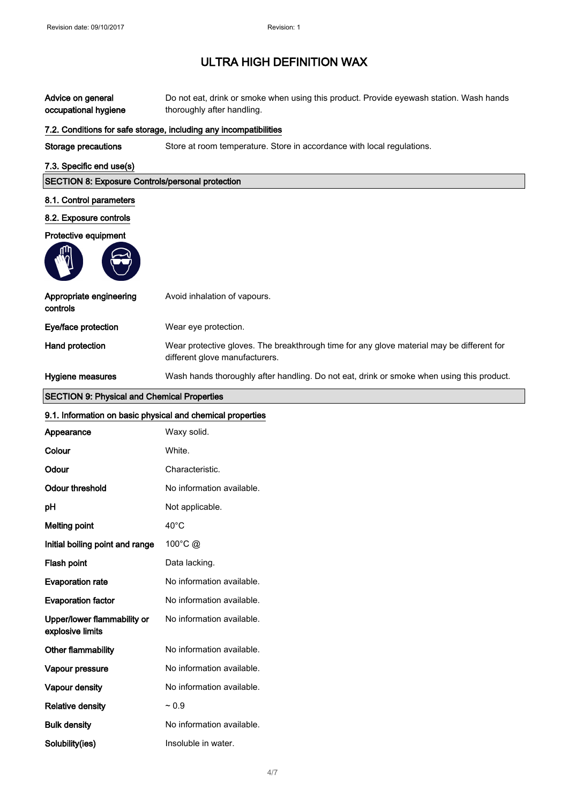| Advice on general<br>occupational hygiene                  | Do not eat, drink or smoke when using this product. Provide eyewash station. Wash hands<br>thoroughly after handling.       |  |
|------------------------------------------------------------|-----------------------------------------------------------------------------------------------------------------------------|--|
|                                                            | 7.2. Conditions for safe storage, including any incompatibilities                                                           |  |
| <b>Storage precautions</b>                                 | Store at room temperature. Store in accordance with local regulations.                                                      |  |
| 7.3. Specific end use(s)                                   |                                                                                                                             |  |
| <b>SECTION 8: Exposure Controls/personal protection</b>    |                                                                                                                             |  |
| 8.1. Control parameters                                    |                                                                                                                             |  |
| 8.2. Exposure controls                                     |                                                                                                                             |  |
| Protective equipment                                       |                                                                                                                             |  |
|                                                            |                                                                                                                             |  |
| Appropriate engineering<br>controls                        | Avoid inhalation of vapours.                                                                                                |  |
| Eye/face protection                                        | Wear eye protection.                                                                                                        |  |
| Hand protection                                            | Wear protective gloves. The breakthrough time for any glove material may be different for<br>different glove manufacturers. |  |
| Hygiene measures                                           | Wash hands thoroughly after handling. Do not eat, drink or smoke when using this product.                                   |  |
| <b>SECTION 9: Physical and Chemical Properties</b>         |                                                                                                                             |  |
| 9.1. Information on basic physical and chemical properties |                                                                                                                             |  |
| Appearance                                                 | Waxy solid.                                                                                                                 |  |
| Colour                                                     | White.                                                                                                                      |  |
| Odour                                                      | Characteristic.                                                                                                             |  |
| <b>Odour threshold</b>                                     | No information available.                                                                                                   |  |
| pH                                                         | Not applicable.                                                                                                             |  |
| <b>Melting point</b>                                       | $40^{\circ}$ C                                                                                                              |  |
| Initial boiling point and range                            | 100°C @                                                                                                                     |  |
| Flash point                                                | Data lacking.                                                                                                               |  |
| <b>Evaporation rate</b>                                    | No information available.                                                                                                   |  |
| <b>Evaporation factor</b>                                  | No information available.                                                                                                   |  |
| Upper/lower flammability or<br>explosive limits            | No information available.                                                                                                   |  |
| Other flammability                                         | No information available.                                                                                                   |  |
| Vapour pressure                                            | No information available.                                                                                                   |  |
| Vapour density                                             | No information available.                                                                                                   |  |
| <b>Relative density</b>                                    | ~ 0.9                                                                                                                       |  |
| <b>Bulk density</b>                                        | No information available.                                                                                                   |  |
| Solubility(ies)                                            | Insoluble in water.                                                                                                         |  |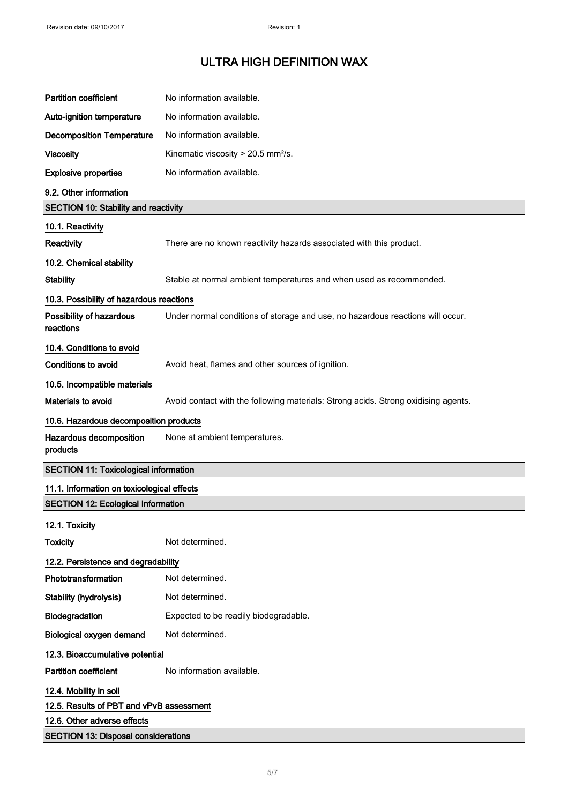| <b>Partition coefficient</b>                 | No information available.                                                          |
|----------------------------------------------|------------------------------------------------------------------------------------|
| Auto-ignition temperature                    | No information available.                                                          |
| <b>Decomposition Temperature</b>             | No information available.                                                          |
| <b>Viscosity</b>                             | Kinematic viscosity > 20.5 mm <sup>2</sup> /s.                                     |
| <b>Explosive properties</b>                  | No information available.                                                          |
| 9.2. Other information                       |                                                                                    |
| <b>SECTION 10: Stability and reactivity</b>  |                                                                                    |
| 10.1. Reactivity                             |                                                                                    |
| Reactivity                                   | There are no known reactivity hazards associated with this product.                |
| 10.2. Chemical stability                     |                                                                                    |
| <b>Stability</b>                             | Stable at normal ambient temperatures and when used as recommended.                |
| 10.3. Possibility of hazardous reactions     |                                                                                    |
| Possibility of hazardous<br>reactions        | Under normal conditions of storage and use, no hazardous reactions will occur.     |
| 10.4. Conditions to avoid                    |                                                                                    |
| <b>Conditions to avoid</b>                   | Avoid heat, flames and other sources of ignition.                                  |
| 10.5. Incompatible materials                 |                                                                                    |
| Materials to avoid                           | Avoid contact with the following materials: Strong acids. Strong oxidising agents. |
| 10.6. Hazardous decomposition products       |                                                                                    |
| Hazardous decomposition<br>products          | None at ambient temperatures.                                                      |
| <b>SECTION 11: Toxicological information</b> |                                                                                    |
| 11.1. Information on toxicological effects   |                                                                                    |
| <b>SECTION 12: Ecological Information</b>    |                                                                                    |
| 12.1. Toxicity                               |                                                                                    |
| <b>Toxicity</b>                              | Not determined.                                                                    |
| 12.2. Persistence and degradability          |                                                                                    |
| Phototransformation                          | Not determined.                                                                    |
| Stability (hydrolysis)                       | Not determined.                                                                    |
| Biodegradation                               | Expected to be readily biodegradable.                                              |
| Biological oxygen demand                     | Not determined.                                                                    |
| 12.3. Bioaccumulative potential              |                                                                                    |
| <b>Partition coefficient</b>                 | No information available.                                                          |
| 12.4. Mobility in soil                       |                                                                                    |
| 12.5. Results of PBT and vPvB assessment     |                                                                                    |
| 12.6. Other adverse effects                  |                                                                                    |
| <b>SECTION 13: Disposal considerations</b>   |                                                                                    |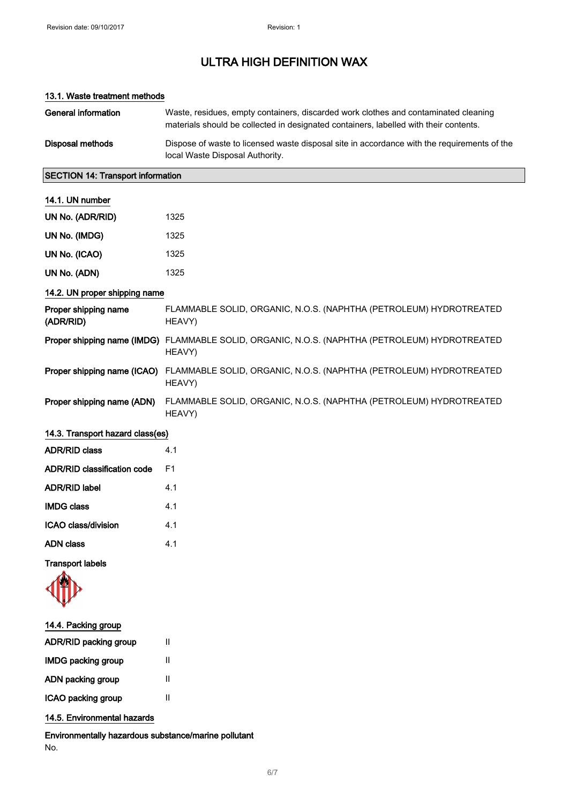### 13.1. Waste treatment methods

| General information | Waste, residues, empty containers, discarded work clothes and contaminated cleaning<br>materials should be collected in designated containers, labelled with their contents. |
|---------------------|------------------------------------------------------------------------------------------------------------------------------------------------------------------------------|
| Disposal methods    | Dispose of waste to licensed waste disposal site in accordance with the requirements of the<br>local Waste Disposal Authority.                                               |

### SECTION 14: Transport information

#### 14.1. UN number

| UN No. (ADR/RID) | 1325 |
|------------------|------|
| UN No. (IMDG)    | 1325 |
| UN No. (ICAO)    | 1325 |
| UN No. (ADN)     | 1325 |

### 14.2. UN proper shipping name

| Proper shipping name<br>(ADR/RID) | FLAMMABLE SOLID, ORGANIC, N.O.S. (NAPHTHA (PETROLEUM) HYDROTREATED<br>HEAVY)                                    |
|-----------------------------------|-----------------------------------------------------------------------------------------------------------------|
|                                   | Proper shipping name (IMDG) FLAMMABLE SOLID, ORGANIC, N.O.S. (NAPHTHA (PETROLEUM) HYDROTREATED<br>HEAVY)        |
|                                   | <b>Proper shipping name (ICAO)</b> FLAMMABLE SOLID, ORGANIC, N.O.S. (NAPHTHA (PETROLEUM) HYDROTREATED<br>HEAVY) |
| Proper shipping name (ADN)        | FLAMMABLE SOLID, ORGANIC, N.O.S. (NAPHTHA (PETROLEUM) HYDROTREATED<br>HEAVY)                                    |

### 14.3. Transport hazard class(es)

| 41 |
|----|
| F1 |
| 41 |
| 41 |
| 41 |
| 41 |
|    |

Transport labels

- 14.4. Packing group ADR/RID packing group II IMDG packing group II ADN packing group II ICAO packing group II
- 14.5. Environmental hazards

Environmentally hazardous substance/marine pollutant No.